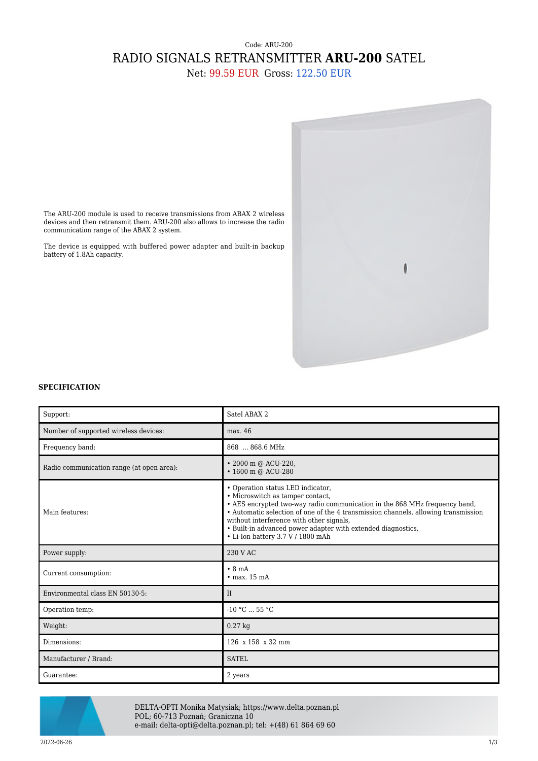## Code: ARU-200 RADIO SIGNALS RETRANSMITTER **ARU-200** SATEL

Net: 99.59 EUR Gross: 122.50 EUR



The ARU-200 module is used to receive transmissions from ABAX 2 wireless devices and then retransmit them. ARU-200 also allows to increase the radio communication range of the ABAX 2 system.

The device is equipped with buffered power adapter and built-in backup battery of 1.8Ah capacity.

## **SPECIFICATION**

| Support:                                  | Satel ABAX 2                                                                                                                                                                                                                                                                                                                                                                               |
|-------------------------------------------|--------------------------------------------------------------------------------------------------------------------------------------------------------------------------------------------------------------------------------------------------------------------------------------------------------------------------------------------------------------------------------------------|
| Number of supported wireless devices:     | max. 46                                                                                                                                                                                                                                                                                                                                                                                    |
| Frequency band:                           | 868  868.6 MHz                                                                                                                                                                                                                                                                                                                                                                             |
| Radio communication range (at open area): | • 2000 m @ ACU-220,<br>• 1600 m @ ACU-280                                                                                                                                                                                                                                                                                                                                                  |
| Main features:                            | • Operation status LED indicator,<br>• Microswitch as tamper contact,<br>• AES encrypted two-way radio communication in the 868 MHz frequency band,<br>• Automatic selection of one of the 4 transmission channels, allowing transmission<br>without interference with other signals,<br>• Built-in advanced power adapter with extended diagnostics,<br>• Li-Ion battery 3.7 V / 1800 mAh |
| Power supply:                             | 230 V AC                                                                                                                                                                                                                                                                                                                                                                                   |
| Current consumption:                      | $\cdot$ 8 mA<br>$\cdot$ max. 15 mA                                                                                                                                                                                                                                                                                                                                                         |
| Environmental class EN 50130-5:           | II                                                                                                                                                                                                                                                                                                                                                                                         |
| Operation temp:                           | $-10 °C$ 55 °C                                                                                                                                                                                                                                                                                                                                                                             |
| Weight:                                   | $0.27$ kg                                                                                                                                                                                                                                                                                                                                                                                  |
| Dimensions:                               | 126 x 158 x 32 mm                                                                                                                                                                                                                                                                                                                                                                          |
| Manufacturer / Brand:                     | <b>SATEL</b>                                                                                                                                                                                                                                                                                                                                                                               |
| Guarantee:                                | 2 years                                                                                                                                                                                                                                                                                                                                                                                    |



DELTA-OPTI Monika Matysiak; https://www.delta.poznan.pl POL; 60-713 Poznań; Graniczna 10 e-mail: delta-opti@delta.poznan.pl; tel: +(48) 61 864 69 60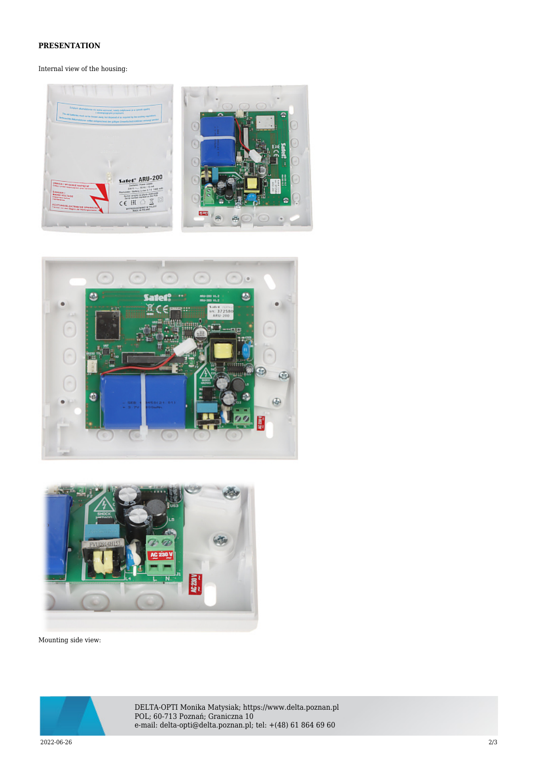## **PRESENTATION**

## Internal view of the housing:







Mounting side view:



DELTA-OPTI Monika Matysiak; https://www.delta.poznan.pl POL; 60-713 Poznań; Graniczna 10 e-mail: delta-opti@delta.poznan.pl; tel: +(48) 61 864 69 60

2022-06-26 2/3